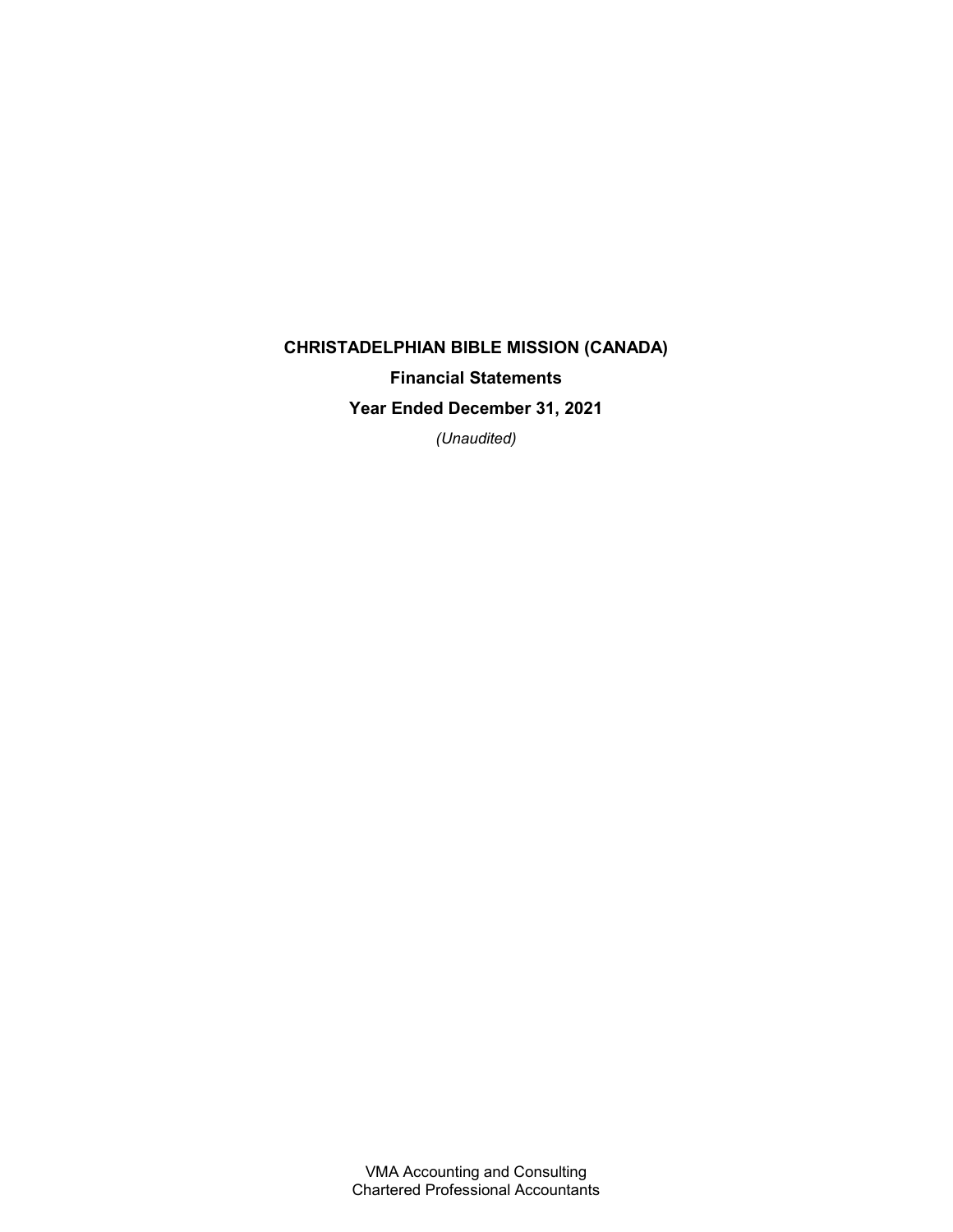# CHRISTADELPHIAN BIBLE MISSION (CANADA) Financial Statements Year Ended December 31, 2021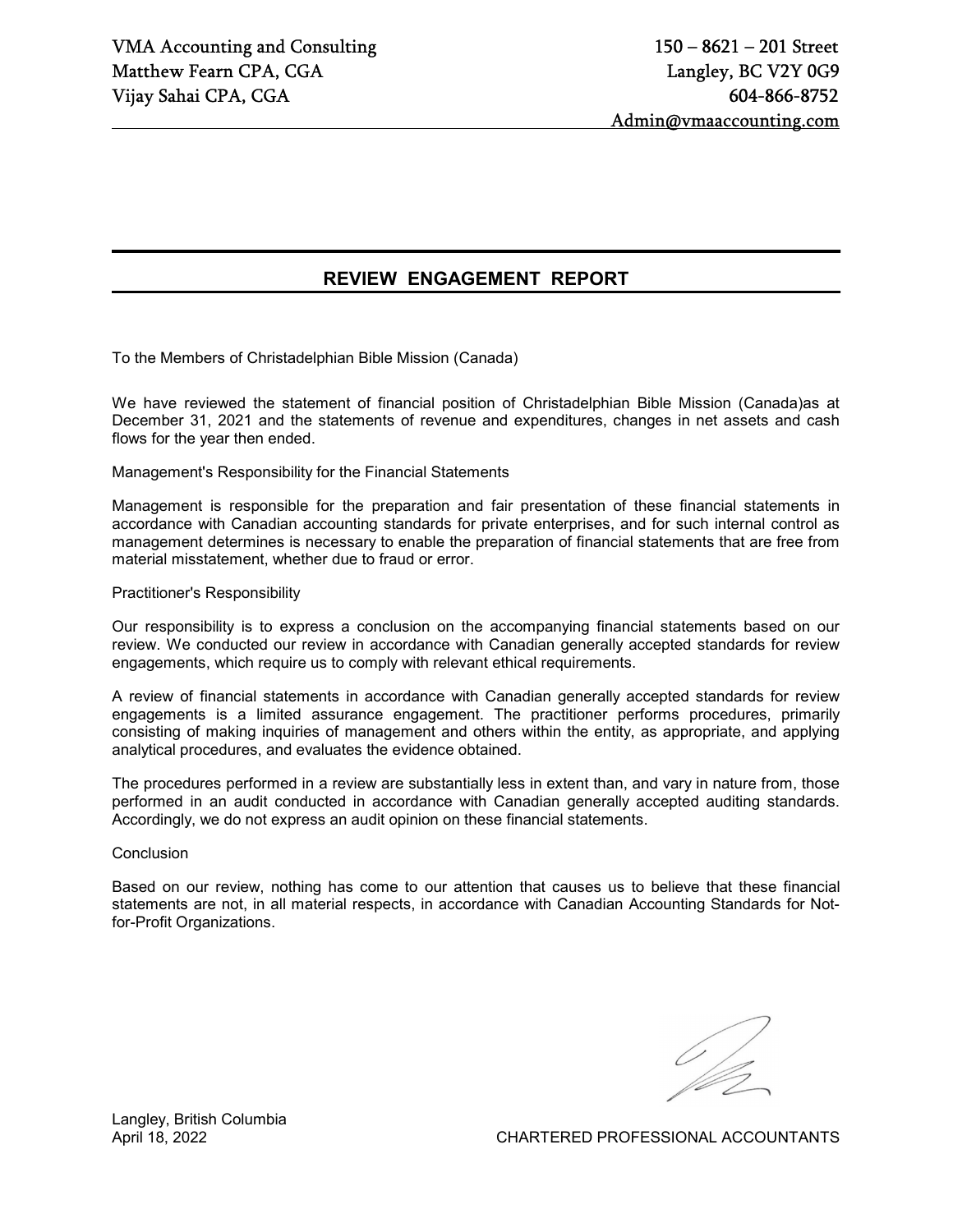# REVIEW ENGAGEMENT REPORT

To the Members of Christadelphian Bible Mission (Canada)

We have reviewed the statement of financial position of Christadelphian Bible Mission (Canada)as at December 31, 2021 and the statements of revenue and expenditures, changes in net assets and cash flows for the year then ended.

Management's Responsibility for the Financial Statements

Management is responsible for the preparation and fair presentation of these financial statements in accordance with Canadian accounting standards for private enterprises, and for such internal control as management determines is necessary to enable the preparation of financial statements that are free from material misstatement, whether due to fraud or error.

#### Practitioner's Responsibility

Our responsibility is to express a conclusion on the accompanying financial statements based on our review. We conducted our review in accordance with Canadian generally accepted standards for review engagements, which require us to comply with relevant ethical requirements.

A review of financial statements in accordance with Canadian generally accepted standards for review engagements is a limited assurance engagement. The practitioner performs procedures, primarily consisting of making inquiries of management and others within the entity, as appropriate, and applying analytical procedures, and evaluates the evidence obtained.

The procedures performed in a review are substantially less in extent than, and vary in nature from, those performed in an audit conducted in accordance with Canadian generally accepted auditing standards. Accordingly, we do not express an audit opinion on these financial statements.

**Conclusion** 

Based on our review, nothing has come to our attention that causes us to believe that these financial statements are not, in all material respects, in accordance with Canadian Accounting Standards for Notfor-Profit Organizations.

Langley, British Columbia

April 18, 2022 CHARTERED PROFESSIONAL ACCOUNTANTS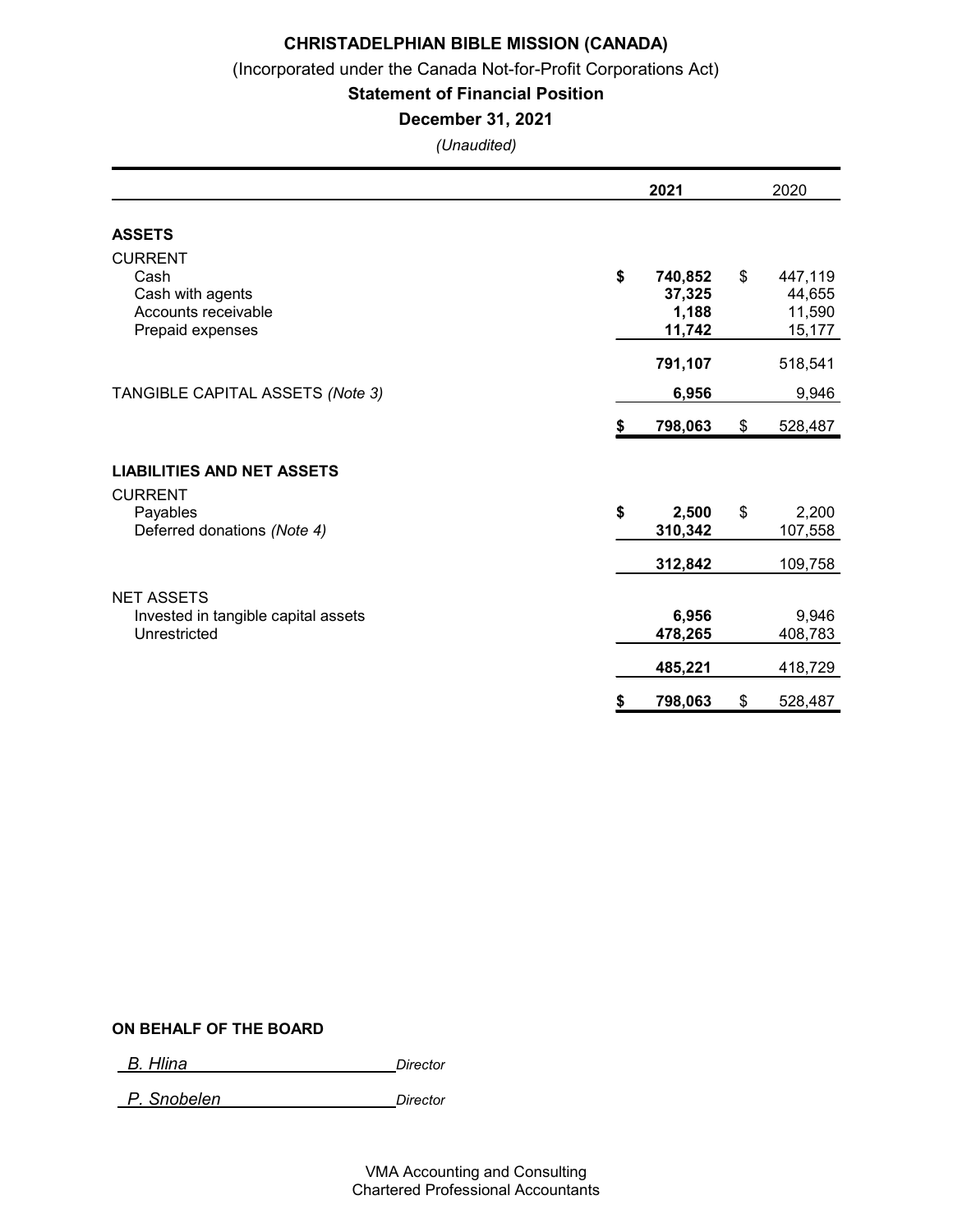(Incorporated under the Canada Not-for-Profit Corporations Act)

### Statement of Financial Position

### December 31, 2021

(Unaudited)

|                                                                                       |    | 2021                                 |               | 2020                                  |
|---------------------------------------------------------------------------------------|----|--------------------------------------|---------------|---------------------------------------|
| <b>ASSETS</b>                                                                         |    |                                      |               |                                       |
| <b>CURRENT</b><br>Cash<br>Cash with agents<br>Accounts receivable<br>Prepaid expenses | \$ | 740,852<br>37,325<br>1,188<br>11,742 | \$            | 447,119<br>44,655<br>11,590<br>15,177 |
|                                                                                       |    | 791,107                              |               | 518,541                               |
| TANGIBLE CAPITAL ASSETS (Note 3)                                                      |    | 6,956                                |               | 9,946                                 |
|                                                                                       | S  | 798,063                              | $\frac{1}{2}$ | 528,487                               |
| <b>LIABILITIES AND NET ASSETS</b>                                                     |    |                                      |               |                                       |
| <b>CURRENT</b><br>Payables<br>Deferred donations (Note 4)                             | \$ | 2,500<br>310,342                     | \$            | 2,200<br>107,558                      |
|                                                                                       |    | 312,842                              |               | 109,758                               |
| <b>NET ASSETS</b>                                                                     |    |                                      |               |                                       |
| Invested in tangible capital assets<br>Unrestricted                                   |    | 6,956<br>478,265                     |               | 9,946<br>408,783                      |
|                                                                                       |    | 485,221                              |               | 418,729                               |
|                                                                                       | \$ | 798,063                              | \$            | 528,487                               |

### ON BEHALF OF THE BOARD

B. Hlina Director

P. Snobelen Director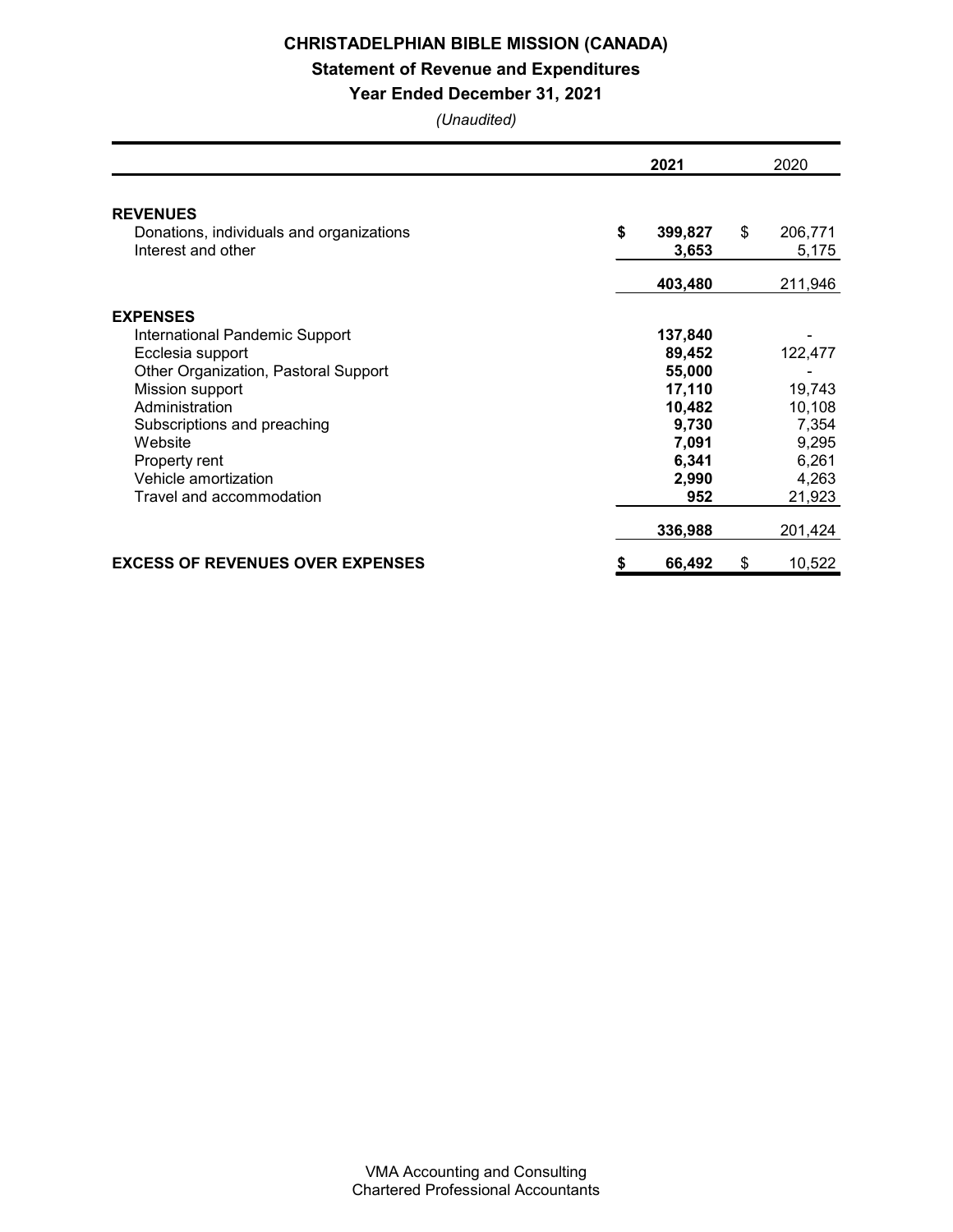# Statement of Revenue and Expenditures

### Year Ended December 31, 2021

|                                                                | 2021 |                  | 2020 |                  |  |
|----------------------------------------------------------------|------|------------------|------|------------------|--|
| <b>REVENUES</b>                                                |      |                  |      |                  |  |
| Donations, individuals and organizations<br>Interest and other | \$   | 399,827<br>3,653 | \$   | 206,771<br>5,175 |  |
|                                                                |      | 403,480          |      | 211,946          |  |
| <b>EXPENSES</b>                                                |      |                  |      |                  |  |
| International Pandemic Support                                 |      | 137,840          |      |                  |  |
| Ecclesia support                                               |      | 89,452           |      | 122,477          |  |
| Other Organization, Pastoral Support                           |      | 55,000           |      |                  |  |
| Mission support                                                |      | 17,110           |      | 19,743           |  |
| Administration                                                 |      | 10,482           |      | 10,108           |  |
| Subscriptions and preaching                                    |      | 9,730            |      | 7,354            |  |
| Website                                                        |      | 7,091            |      | 9,295            |  |
| Property rent                                                  |      | 6,341            |      | 6,261            |  |
| Vehicle amortization                                           |      | 2,990            |      | 4,263            |  |
| Travel and accommodation                                       |      | 952              |      | 21,923           |  |
|                                                                |      | 336,988          |      | 201,424          |  |
| <b>EXCESS OF REVENUES OVER EXPENSES</b>                        | \$   | 66,492           | \$   | 10,522           |  |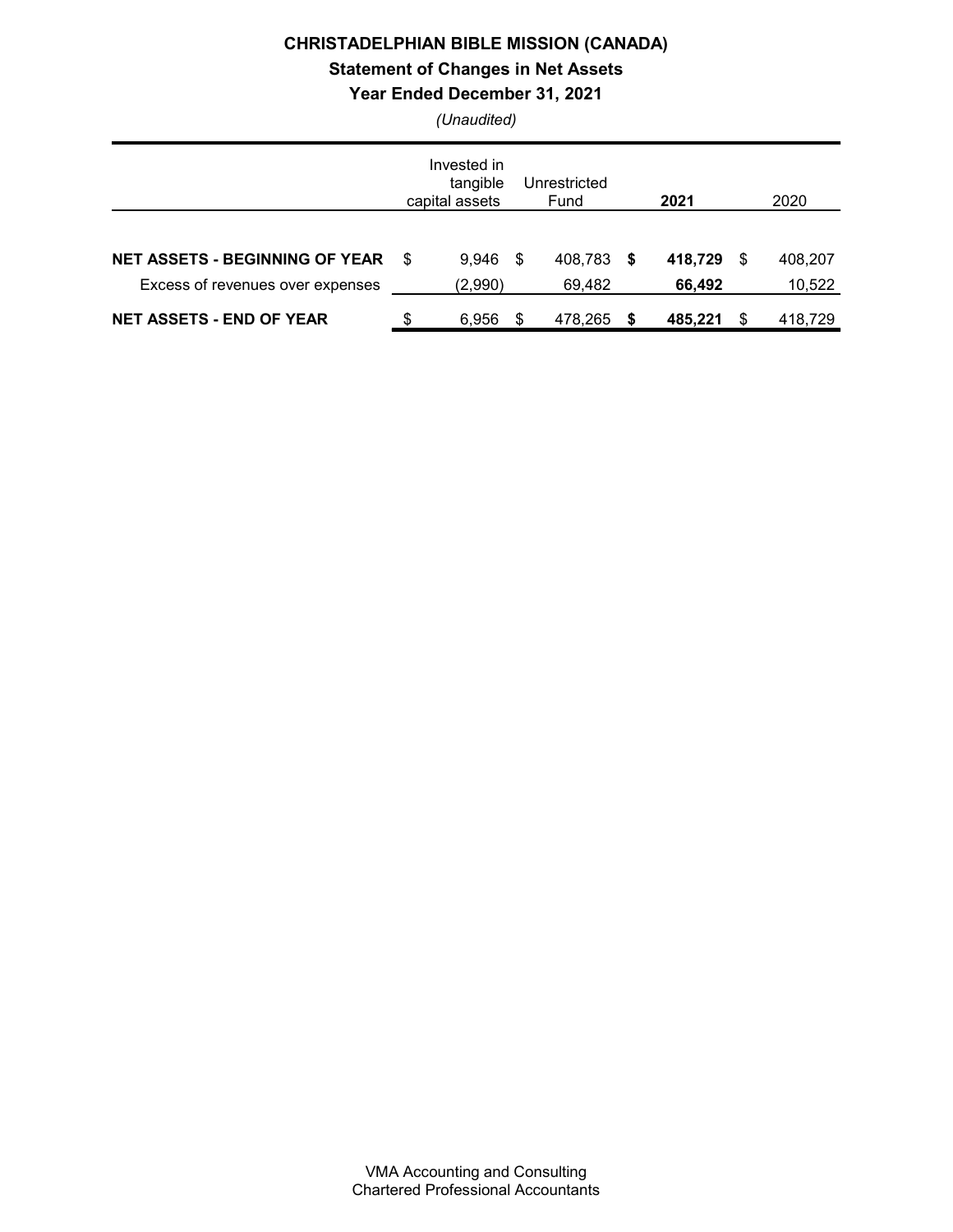# Statement of Changes in Net Assets

Year Ended December 31, 2021

|                                                                           |    | Invested in<br>tangible<br>capital assets |      | Unrestricted<br>Fund | 2021              | 2020                    |
|---------------------------------------------------------------------------|----|-------------------------------------------|------|----------------------|-------------------|-------------------------|
| <b>NET ASSETS - BEGINNING OF YEAR</b><br>Excess of revenues over expenses | .S | 9.946<br>(2,990)                          | - \$ | 408,783 \$<br>69,482 | 418,729<br>66,492 | \$<br>408,207<br>10,522 |
| <b>NET ASSETS - END OF YEAR</b>                                           | \$ | 6,956                                     | S    | 478,265              | 485,221           | 418,729                 |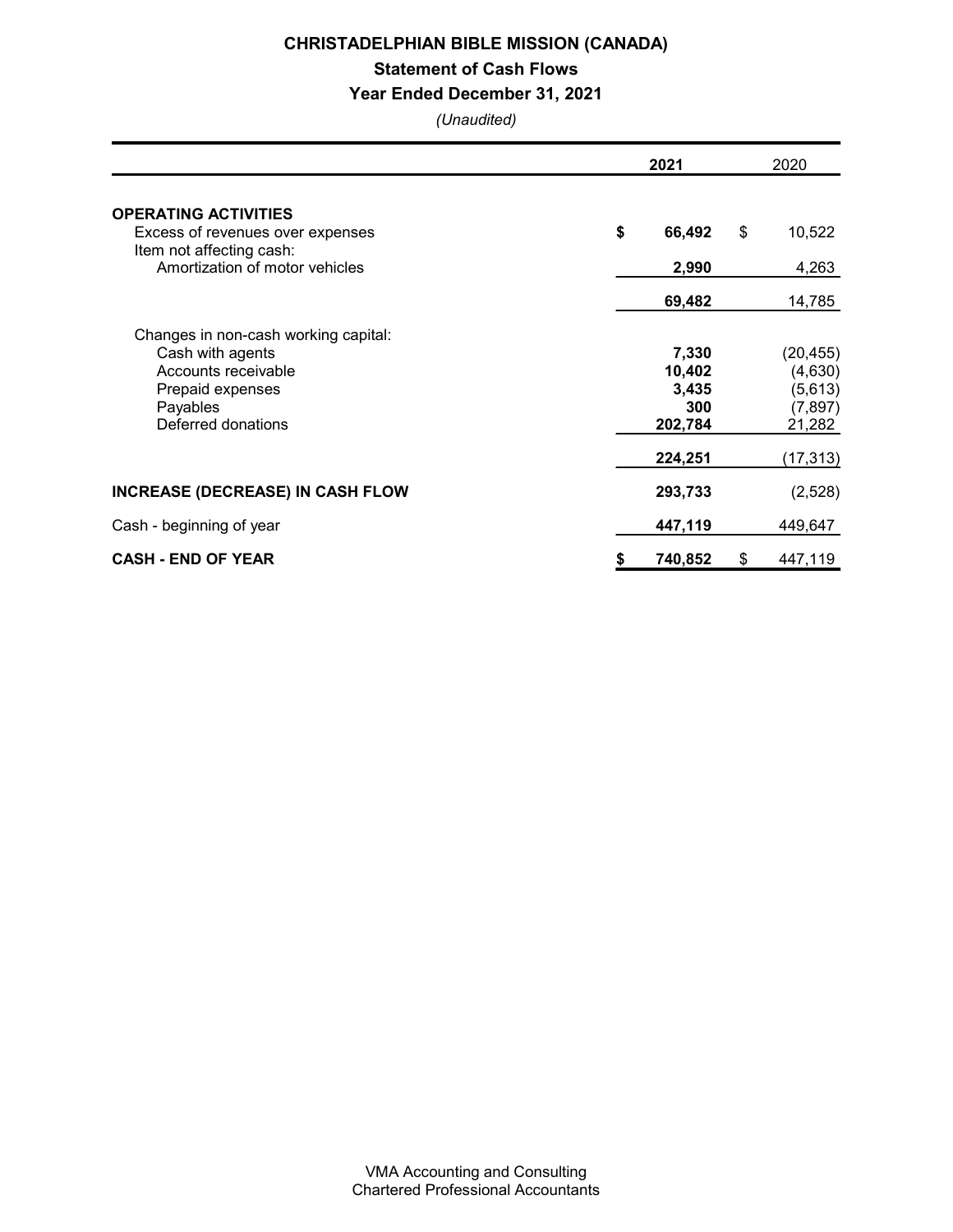Statement of Cash Flows

### Year Ended December 31, 2021

|                                                                                                                                       | 2021                                                  |    | 2020                                                               |
|---------------------------------------------------------------------------------------------------------------------------------------|-------------------------------------------------------|----|--------------------------------------------------------------------|
| <b>OPERATING ACTIVITIES</b><br>Excess of revenues over expenses                                                                       | \$<br>66,492                                          | \$ | 10,522                                                             |
| Item not affecting cash:<br>Amortization of motor vehicles                                                                            | 2,990                                                 |    | 4,263                                                              |
|                                                                                                                                       | 69,482                                                |    | 14,785                                                             |
| Changes in non-cash working capital:<br>Cash with agents<br>Accounts receivable<br>Prepaid expenses<br>Payables<br>Deferred donations | 7,330<br>10,402<br>3,435<br>300<br>202,784<br>224,251 |    | (20, 455)<br>(4,630)<br>(5,613)<br>(7, 897)<br>21,282<br>(17, 313) |
| <b>INCREASE (DECREASE) IN CASH FLOW</b>                                                                                               | 293,733                                               |    | (2,528)                                                            |
| Cash - beginning of year                                                                                                              | 447,119                                               |    | 449,647                                                            |
| <b>CASH - END OF YEAR</b>                                                                                                             | \$<br>740,852                                         | \$ | 447,119                                                            |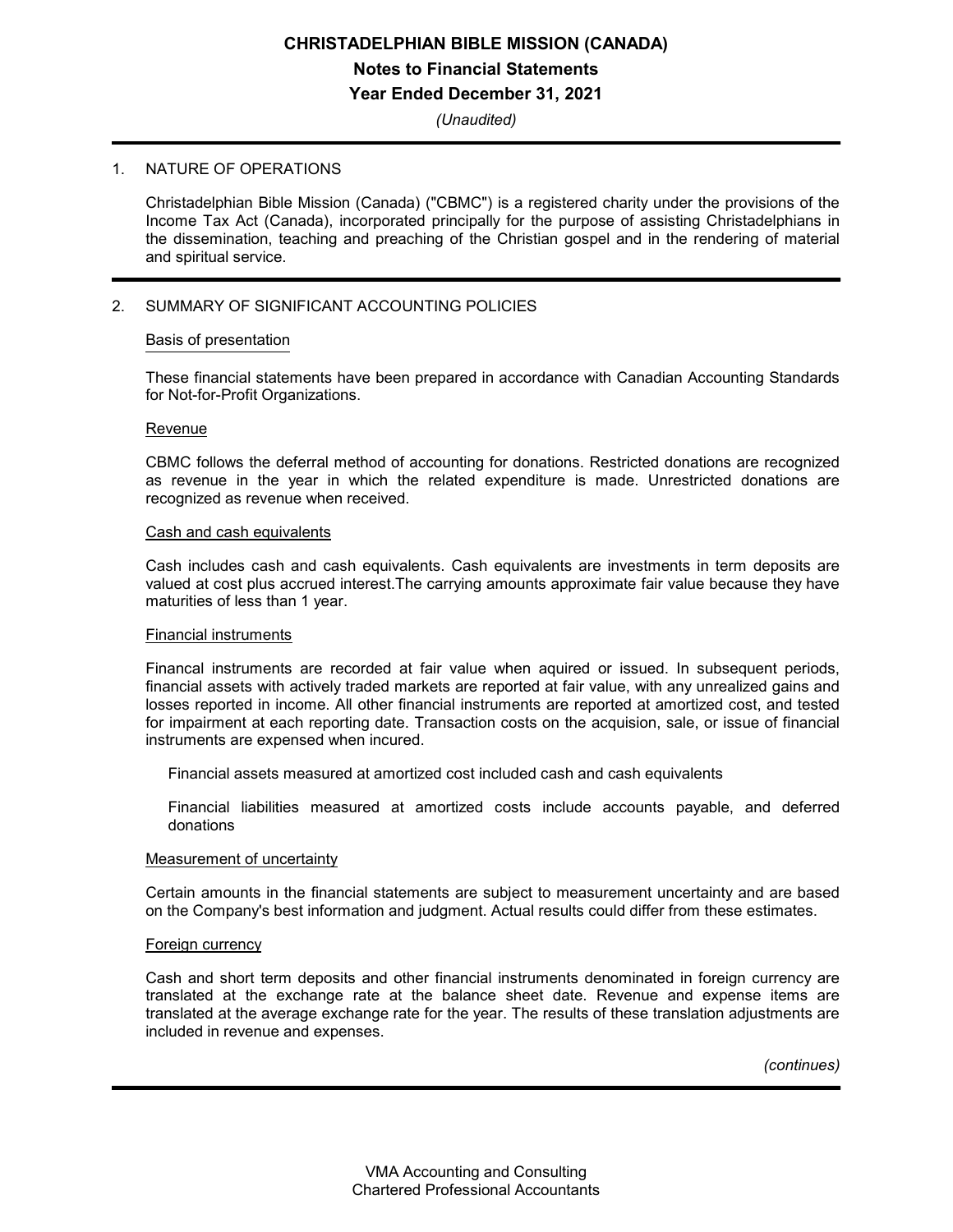# CHRISTADELPHIAN BIBLE MISSION (CANADA) Notes to Financial Statements Year Ended December 31, 2021

(Unaudited)

#### 1. NATURE OF OPERATIONS

Christadelphian Bible Mission (Canada) ("CBMC") is a registered charity under the provisions of the Income Tax Act (Canada), incorporated principally for the purpose of assisting Christadelphians in the dissemination, teaching and preaching of the Christian gospel and in the rendering of material and spiritual service.

### 2. SUMMARY OF SIGNIFICANT ACCOUNTING POLICIES

#### Basis of presentation

These financial statements have been prepared in accordance with Canadian Accounting Standards for Not-for-Profit Organizations.

#### **Revenue**

CBMC follows the deferral method of accounting for donations. Restricted donations are recognized as revenue in the year in which the related expenditure is made. Unrestricted donations are recognized as revenue when received.

### Cash and cash equivalents

Cash includes cash and cash equivalents. Cash equivalents are investments in term deposits are valued at cost plus accrued interest.The carrying amounts approximate fair value because they have maturities of less than 1 year.

#### Financial instruments

Financal instruments are recorded at fair value when aquired or issued. In subsequent periods, financial assets with actively traded markets are reported at fair value, with any unrealized gains and losses reported in income. All other financial instruments are reported at amortized cost, and tested for impairment at each reporting date. Transaction costs on the acquision, sale, or issue of financial instruments are expensed when incured.

Financial assets measured at amortized cost included cash and cash equivalents

Financial liabilities measured at amortized costs include accounts payable, and deferred donations

#### Measurement of uncertainty

Certain amounts in the financial statements are subject to measurement uncertainty and are based on the Company's best information and judgment. Actual results could differ from these estimates.

#### Foreign currency

Cash and short term deposits and other financial instruments denominated in foreign currency are translated at the exchange rate at the balance sheet date. Revenue and expense items are translated at the average exchange rate for the year. The results of these translation adjustments are included in revenue and expenses.

(continues)